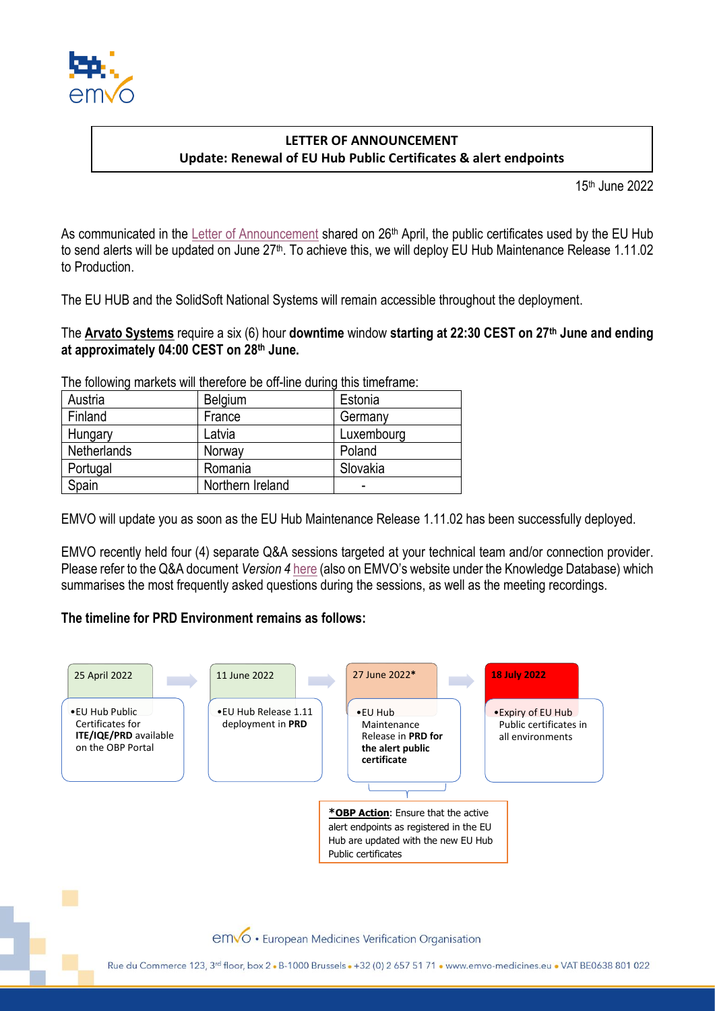

## **LETTER OF ANNOUNCEMENT Update: Renewal of EU Hub Public Certificates & alert endpoints**

15 th June 2022

As communicated in the [Letter of Announcement](https://emvo-medicines.eu/new/wp-content/uploads/EMVO_LoA_0226_20220426_Renewal_EU_Hub_Certificates_planned_dates.pdf) shared on 26<sup>th</sup> April, the public certificates used by the EU Hub to send alerts will be updated on June 27<sup>th</sup>. To achieve this, we will deploy EU Hub Maintenance Release 1.11.02 to Production.

The EU HUB and the SolidSoft National Systems will remain accessible throughout the deployment.

The **Arvato Systems** require a six (6) hour **downtime** window **starting at 22:30 CEST on 27th June and ending at approximately 04:00 CEST on 28th June.**

The following markets will therefore be off-line during this timeframe:

| Austria     | Belgium          | Estonia    |
|-------------|------------------|------------|
| Finland     | France           | Germany    |
| Hungary     | Latvia           | Luxembourg |
| Netherlands | Norway           | Poland     |
| Portugal    | Romania          | Slovakia   |
| Spain       | Northern Ireland | -          |

EMVO will update you as soon as the EU Hub Maintenance Release 1.11.02 has been successfully deployed.

EMVO recently held four (4) separate Q&A sessions targeted at your technical team and/or connection provider. Please refer to the Q&A document *Version 4* [here](https://emvo-medicines.eu/new/wp-content/uploads/QA_EU-Hub-Certificates-Renewal.pdf) (also on EMVO's website under the Knowledge Database) which summarises the most frequently asked questions during the sessions, as well as the meeting recordings.

## **The timeline for PRD Environment remains as follows:**



emvo · European Medicines Verification Organisation